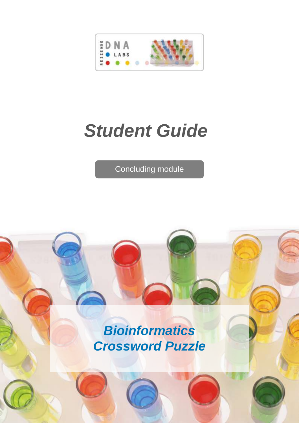

# *Student Guide*

Concluding module

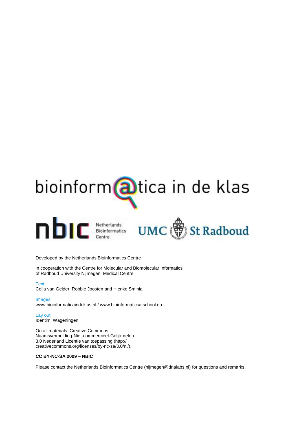



Developed by the Netherlands Bioinformatics Centre

in cooperation with the Centre for Molecular and Biomolecular Informatics of Radboud University Nijmegen Medical Centre

**Text** Celia van Gelder, Robbie Joosten and Hienke Sminia

Images www.bioinformaticaindeklas.nl / www.bioinformaticsatschool.eu

Lay out Identim, Wageningen

On all materials: Creative Commons Naamsvermelding-Niet-commercieel-Gelijk delen 3.0 Nederland Licentie van toepassing (http:// creativecommons.org/licenses/by-nc-sa/3.0/nl/).

#### **CC BY-NC-SA 2009 – NBIC**

Please contact the Netherlands Bioinformatics Centre (nijmegen@dnalabs.nl) for questions and remarks.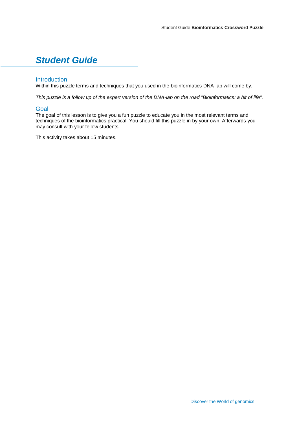## *Student Guide*

#### Introduction

Within this puzzle terms and techniques that you used in the bioinformatics DNA-lab will come by.

*This puzzle is a follow up of the expert version of the DNA-lab on the road "Bioinformatics: a bit of life".*

#### **Goal**

The goal of this lesson is to give you a fun puzzle to educate you in the most relevant terms and techniques of the bioinformatics practical. You should fill this puzzle in by your own. Afterwards you may consult with your fellow students.

This activity takes about 15 minutes.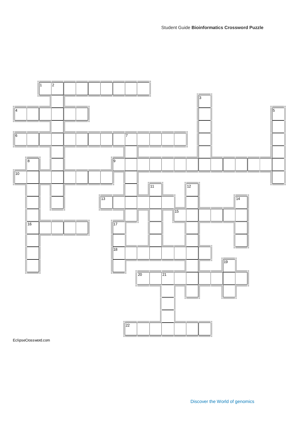

EclipseCrossword.com